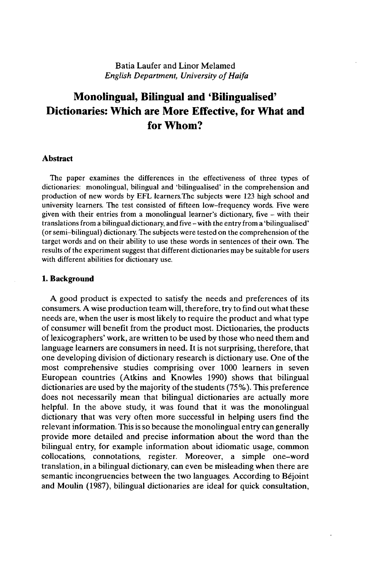# Batia Laufer and Linor Melamed *English Department, University of Haifa*

# **Monolingual, Bilingual and 'Bilingualised' Dictionaries: Which are More Effective, for What and for Whom?**

### **Abstract**

The paper examines the differences in the effectiveness of three types of dictionaries: monolingual, bilingual and 'bilingualised' in the comprehension and production of new words by EFL learners.The subjects were 123 high school and university learners. The test consisted of fifteen low-frequency words. Five were given with their entries from <sup>a</sup> monolingual learner's dictionary, five - with their translations from <sup>a</sup> bilingual dictionary, and five -with the entry from a 'bilingualised' (or semi-bilingual) dictionary. The subjects were tested on the comprehension of the target words and on their ability to use these words in sentences of their own. The results of the experiment suggest that different dictionaries may be suitable for users with different abilities for dictionary use.

#### **1. Background**

A good product is expected to satisfy the needs and preferences of its consumers. A wise production team will, therefore, try to find out what these needs are, when the user is most likely to require the product and what type of consumer will benefit from the product most. Dictionaries, the products of lexicographers' work, are written to be used by those who need them and language learners are consumers in need. It is not surprising, therefore, that one developing division of dictionary research is dictionary use. One of the most comprehensive studies comprising over 1000 learners in seven European countries (Atkins and Knowles 1990) shows that bilingual dictionaries are used by the majority of the students (75%). This preference does not necessarily mean that bilingual dictionaries are actually more helpful. In the above study, it was found that it was the monolingual dictionary that was very often more successful in helping users find the relevant information. This is so because the monolingual entry can generally provide more detailed and precise information about the word than the bilingual entry, for example information about idiomatic usage, common collocations, connotations, register. Moreover, a simple one-word translation, in a bilingual dictionary, can even be misleading when there are semantic incongruencies between the two languages. According to Béjoint and Moulin (1987), bilingual dictionaries are ideal for quick consultation,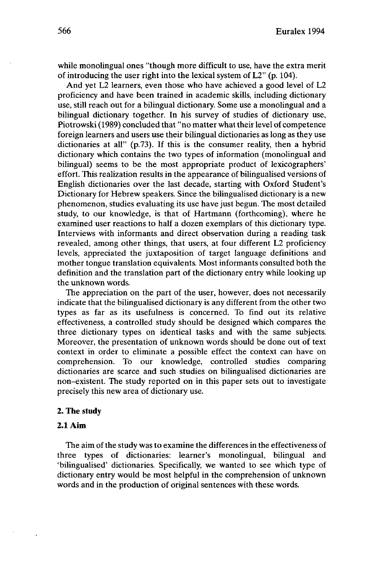while monolingual ones "though more difficult to use, have the extra merit of introducing the user right into the lexical system of L2" (p. 104).

And yet L2 learners, even those who have achieved a good level of L2 proficiency and have been trained in academic skills, including dictionary use, still reach out for a bilingual dictionary. Some use a monolingual and a bilingual dictionary together. In his survey of studies of dictionary use, Piotrowski (1989) concluded that "no matter what their level of competence foreign learners and users use their bilingual dictionaries as long as they use dictionaries at all" (p.73). If this is the consumer reality, then a hybrid dictionary which contains the two types of information (monolingual and bilingual) seems to be the most appropriate product of lexicographers' effort. This realization results in the appearance of bilingualised versions of English dictionaries over the last decade, starting with Oxford Student's Dictionary for Hebrew speakers. Since the bilingualised dictionary is a new phenomenon, studies evaluating its use have just begun. The most detailed study, to our knowledge, is that of Hartmann (forthcoming), where he examined user reactions to half a dozen exemplars of this dictionary type. Interviews with informants and direct observation during a reading task revealed, among other things, that users, at four different L2 proficiency levels, appreciated the juxtaposition of target language definitions and mother tongue translation equivalents. Most informants consulted both the definition and the translation part of the dictionary entry while looking up the unknown words.

The appreciation on the part of the user, however, does not necessarily indicate that the bilingualised dictionary is any different from the other two types as far as its usefulness is concerned. To find out its relative effectiveness, a controlled study should be designed which compares the three dictionary types on identical tasks and with the same subjects. Moreover, the presentation of unknown words should be done out of text context in order to eliminate a possible effect the context can have on comprehension. To our knowledge, controlled studies comparing dictionaries are scarce and such studies on bilingualised dictionaries are non-existent. The study reported on in this paper sets out to investigate precisely this new area of dictionary use.

### **2. The study**

# **2.1 Aim**

The aim of the study was to examine the differences in the effectiveness of three types of dictionaries: learner's monolingual, bilingual and 'bilingualised' dictionaries. Specifically, we wanted to see which type of dictionary entry would be most helpful in the comprehension of unknown words and in the production of original sentences with these words.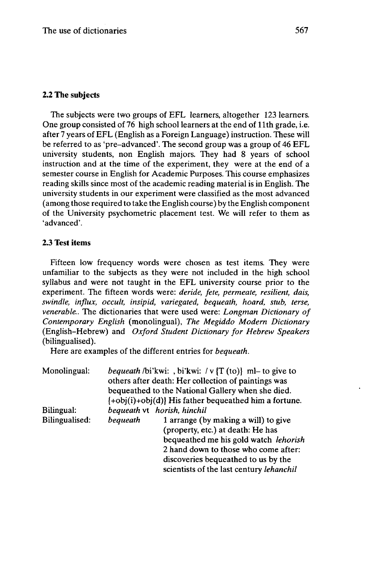# **2.2 The subjects**

The subjects were two groups of EFL learners, altogether 123 learners. One group consisted of 76 high school learners at the end of 11th grade, i.e. after 7 years of EFL (English as a Foreign Language) instruction. These will be referred to as 'pre-advanced'. The second group was a group of 46 EFL university students, non English majors. They had 8 years of school instruction and at the time of the experiment, they were at the end of a semester course in English for Academic Purposes. This course emphasizes reading skills since most of the academic reading material is in English. The university students in our experiment were classified as the most advanced (among those required to take the English course) by the English component of the University psychometric placement test. We will refer to them as 'advanced'.

# **2.3 Test items**

Fifteen low frequency words were chosen as test items. They were unfamiliar to the subjects as they were not included in the high school syllabus and were not taught in the EFL university course prior to the experiment. The fifteen words were: *deride, fete, permeate, resilient, dais, swindle, influx, occult, insipid, variegated, bequeath, hoard, stub, terse, venerable..* The dictionaries that were used were: *Longman Dictionary of Contemporary English* (monolingual), *The Megiddo Modern Dictionary* (English-Hebrew) and *Oxford Student Dictionary for Hebrew Speakers* (bilingualised).

Here are examples of the different entries for *bequeath.*

| Monolingual:   | <i>bequeath</i> /bi'kwi: , bi'kwi: /v $\{T (to)\}$ ml-to give to<br>others after death: Her collection of paintings was<br>bequeathed to the National Gallery when she died.<br>$\{\pm \text{obj}(i) + \text{obj}(d)\}\$ His father bequeathed him a fortune. |  |  |  |
|----------------|---------------------------------------------------------------------------------------------------------------------------------------------------------------------------------------------------------------------------------------------------------------|--|--|--|
|                |                                                                                                                                                                                                                                                               |  |  |  |
| Bilingual:     | bequeath vt horish, hinchil                                                                                                                                                                                                                                   |  |  |  |
| Bilingualised: | bequeath<br>1 arrange (by making a will) to give<br>(property, etc.) at death: He has<br>bequeathed me his gold watch lehorish<br>2 hand down to those who come after:<br>discoveries bequeathed to us by the<br>scientists of the last century lehanchil     |  |  |  |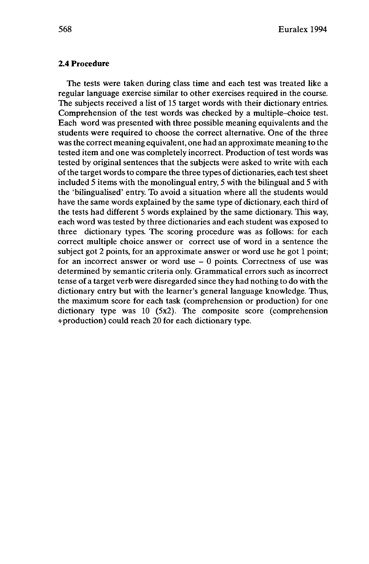## **2.4 Procedure**

The tests were taken during class time and each test was treated like a regular language exercise similar to other exercises required in the course. The subjects received a list of 15 target words with their dictionary entries. Comprehension of the test words was checked by a multiple-choice test. Each word was presented with three possible meaning equivalents and the students were required to choose the correct alternative. One of the three was the correct meaning equivalent, one had an approximate meaning to the tested item and one was completely incorrect. Production of test words was tested by original sentences that the subjects were asked to write with each ofthe target words to compare the three types of dictionaries, each test sheet included 5 items with the monolingual entry, 5 with the bilingual and 5 with the 'bilingualised' entry. To avoid a situation where all the students would have the same words explained by the same type of dictionary, each third of the tests had different 5 words explained by the same dictionary. This way, each word was tested by three dictionaries and each student was exposed to three dictionary types. The scoring procedure was as follows: for each correct multiple choice answer or correct use of word in a sentence the subject got 2 points, for an approximate answer or word use he got <sup>1</sup> point; for an incorrect answer or word use  $-0$  points. Correctness of use was determined by semantic criteria only. Grammatical errors such as incorrect tense of a target verb were disregarded since they had nothing to do with the dictionary entry but with the learner's general language knowledge. Thus, the maximum score for each task (comprehension or production) for one dictionary type was 10 (5x2). The composite score (comprehension +production) could reach 20 for each dictionary type.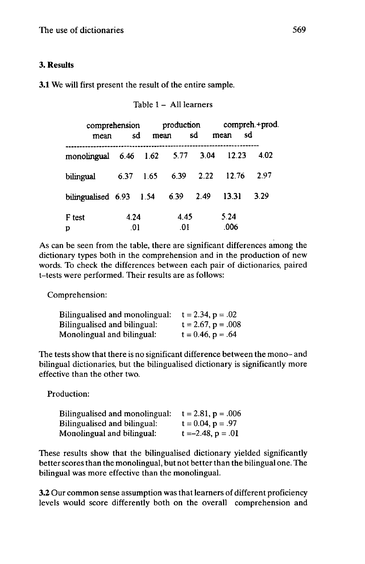# 3. Results

# 3.1 We will first present the result of the entire sample.

| mean                       | comprehension | sd<br>mean | production  | sđ   | sd<br>mean   | compreh.+prod. |
|----------------------------|---------------|------------|-------------|------|--------------|----------------|
| monolingual 6.46 1.62 5.77 |               |            |             | 3.04 | 12.23        | 4.02           |
| bilingual                  | 6.37          | 1.65       | 6.39        | 2.22 | 12.76        | 2.97           |
| bilingualised $6.93$ 1.54  |               |            | 6.39        | 2.49 | 13.31        | 3.29           |
| F test<br>D                | 4.24<br>.01   |            | 4.45<br>.01 |      | 5.24<br>.006 |                |

Table <sup>1</sup> - All learners

As can be seen from the table, there are significant differences among the dictionary types both in the comprehension and in the production of new words. To check the differences between each pair of dictionaries, paired t-tests were performed. Their results are as follows:

Comprehension:

| Bilingualised and monolingual: | $t = 2.34, p = .02$     |
|--------------------------------|-------------------------|
| Bilingualised and bilingual:   | $t = 2.67$ , $p = .008$ |
| Monolingual and bilingual:     | $t = 0.46, p = .64$     |

The tests show that there is no significant difference between the mono- and bilingual dictionaries, but the bilingualised dictionary is significantly more effective than the other two.

Production:

| Bilingualised and monolingual: | $t = 2.81$ , $p = .006$ |
|--------------------------------|-------------------------|
| Bilingualised and bilingual:   | $t = 0.04$ , $p = .97$  |
| Monolingual and bilingual:     | $t = -2.48$ , $p = .01$ |

These results show that the bilingualised dictionary yielded significantly better scores than the monolingual, but not better than the bilingual one. The bilingual was more effective than the monolingual.

3.2 Our common sense assumption was that learners of different proficiency levels would score differently both on the overall comprehension and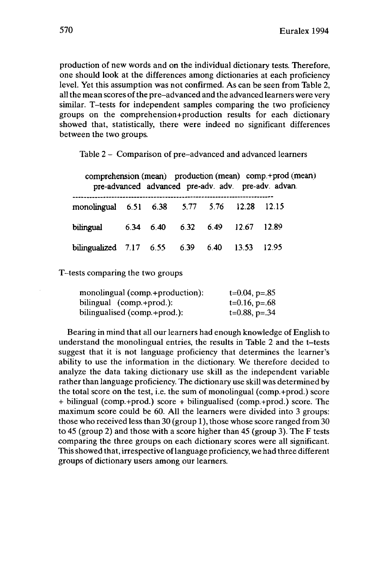production of new words and on the individual dictionary tests. Therefore, one should look at the differences among dictionaries at each proficiency level. Yet this assumption was not confirmed. As can be seen from Table 2, all the mean scores of the pre-advanced and the advanced learners were very similar. T-tests for independent samples comparing the two proficiency groups on the comprehension+production results for each dictionary showed that, statistically, there were indeed no significant differences between the two groups.

Table <sup>2</sup> - Comparison of pre-advanced and advanced learners

| comprehension (mean) production (mean) comp.+prod (mean)<br>pre-advanced advanced pre-adv. adv. pre-adv. advan. |  |  |  |  |  |  |  |
|-----------------------------------------------------------------------------------------------------------------|--|--|--|--|--|--|--|
| monolingual 6.51 6.38 5.77 5.76 12.28 12.15                                                                     |  |  |  |  |  |  |  |
| bilingual 6.34 6.40 6.32 6.49 12.67 12.89                                                                       |  |  |  |  |  |  |  |
| bilingualized 7.17 6.55 6.39 6.40 13.53 12.95                                                                   |  |  |  |  |  |  |  |

T-tests comparing the two groups

| monolingual (comp.+production): | $t=0.04$ , p=.85 |
|---------------------------------|------------------|
| bilingual (comp.+prod.):        | $t=0.16, p=.68$  |
| bilingualised (comp.+prod.):    | $t=0.88, p=.34$  |

Bearing in mind that all our learners had enough knowledge of English to understand the monolingual entries, the results in Table 2 and the t-tests suggest that it is not language proficiency that determines the learner's ability to use the information in the dictionary. We therefore decided to analyze the data taking dictionary use skill as the independent variable rather than language proficiency. The dictionary use skill was determined by the total score on the test, i.e. the sum of monolingual (comp.+prod.) score + bilingual (comp.+prod.) score + bilingualised (comp.+prod.) score. The maximum score could be 60. All the learners were divided into 3 groups: those who received less than 30 (group 1), those whose score ranged from 30 to 45 (group 2) and those with a score higher than 45 (group 3). The F tests comparing the three groups on each dictionary scores were all significant. Thisshowed that, irrespective oflanguage proficiency, we had three different groups of dictionary users among our learners.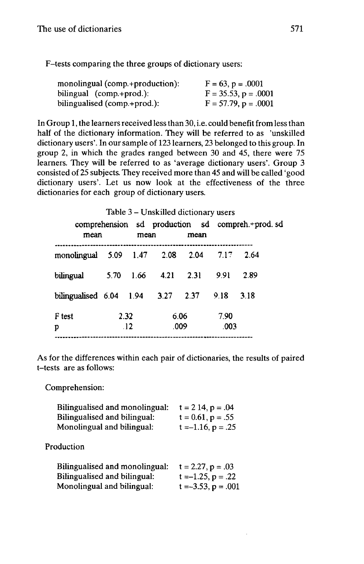F-tests comparing the three groups of dictionary users:

| monolingual (comp.+production): | $F = 63$ , $p = .0001$    |
|---------------------------------|---------------------------|
| bilingual (comp.+prod.):        | $F = 35.53$ , $p = .0001$ |
| bilingualised (comp.+prod.):    | $F = 57.79$ , $p = .0001$ |

In Group 1, the learners received less than 30, i.e. could benefit from less than half of the dictionary information. They will be referred to as 'unskilled dictionary users'. In our sample of 123 learners, 23 belonged to this group. In group 2, in which the grades ranged between 30 and 45, there were 75 learners. They will be referred to as 'average dictionary users'. Group 3 consisted of 25 subjects. They received more than 45 and will be called 'good dictionary users'. Let us now look at the effectiveness of the three dictionaries for each group of dictionary users.

|                                      |      |      | Table 3 – Unskilled dictionary users |      |              |                                                 |  |
|--------------------------------------|------|------|--------------------------------------|------|--------------|-------------------------------------------------|--|
| mean                                 |      | mean |                                      | mean |              | comprehension sd production sd compreh.+prod.sd |  |
|                                      |      |      |                                      |      |              |                                                 |  |
| monolingual 5.09 1.47 2.08 2.04 7.17 |      |      |                                      |      |              | 2.64                                            |  |
| bilingual                            |      |      | 5.70 1.66 4.21 2.31                  |      | 991          | 2.89                                            |  |
| bilingualised 6.04 1.94 3.27 2.37    |      |      |                                      |      | 9.18         | 3.18                                            |  |
| F test<br>D                          | 2.32 | .12  | 6.06<br>.009                         |      | 7.90<br>.003 |                                                 |  |
|                                      |      |      |                                      |      |              |                                                 |  |

As for the differences within each pair of dictionaries, the results of paired t-tests are as follows:

Comprehension:

| Bilingualised and monolingual: | $t = 214$ , $p = .04$   |
|--------------------------------|-------------------------|
| Bilingualised and bilingual:   | $t = 0.61, p = .55$     |
| Monolingual and bilingual:     | $t = -1.16$ , $p = .25$ |
|                                |                         |

Production

| Bilingualised and monolingual: | $t = 2.27$ , $p = .03$   |
|--------------------------------|--------------------------|
| Bilingualised and bilingual:   | $t = -1.25$ , $p = .22$  |
| Monolingual and bilingual:     | $t = -3.53$ , $p = .001$ |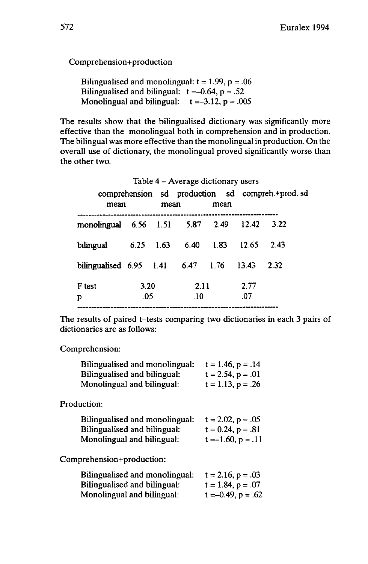Comprehension+production

Bilingualised and monolingual:  $t = 1.99$ ,  $p = .06$ Bilingualised and bilingual:  $t = -0.64$ ,  $p = .52$ Monolingual and bilingual:  $t = -3.12$ ,  $p = .005$ 

The results show that the bilingualised dictionary was significantly more effective than the monolingual both in comprehension and in production. The bilingual was more effective than the monolingual in production. On the overall use of dictionary, the monolingual proved significantly worse than the other two.

| mean                              |             | mean | Table 4 – Average dictionary users | mean |             | comprehension sd production sd compreh.+prod.sd |
|-----------------------------------|-------------|------|------------------------------------|------|-------------|-------------------------------------------------|
| monolingual 6.56 1.51 5.87 2.49   |             |      |                                    |      | 12.42       | 3.22                                            |
| bilingual                         | 6.25        | 1.63 | 6.40                               | 1.83 | 12.65       | 2.43                                            |
| bilingualised 6.95 1.41 6.47 1.76 |             |      |                                    |      | 13.43       | 2.32                                            |
| F test<br>р                       | 3.20<br>.05 |      | 2.11<br>.10                        |      | 2.77<br>.07 |                                                 |

The results of paired t-tests comparing two dictionaries in each 3 pairs of dictionaries are as follows:

## Comprehension:

| Bilingualised and monolingual: | $t = 1.46, p = .14$    |
|--------------------------------|------------------------|
| Bilingualised and bilingual:   | $t = 2.54$ , $p = .01$ |
| Monolingual and bilingual:     | $t = 1.13$ , $p = .26$ |

Production:

| Bilingualised and monolingual: | $t = 2.02, p = .05$    |
|--------------------------------|------------------------|
| Bilingualised and bilingual:   | $t = 0.24$ , $p = .81$ |
| Monolingual and bilingual:     | $t = -1.60, p = .11$   |

Comprehension+production:

| <b>Bilingualised and monolingual:</b> | $t = 2.16, p = .03$     |
|---------------------------------------|-------------------------|
| Bilingualised and bilingual:          | $t = 1.84, p = .07$     |
| Monolingual and bilingual:            | $t = -0.49$ , $p = .62$ |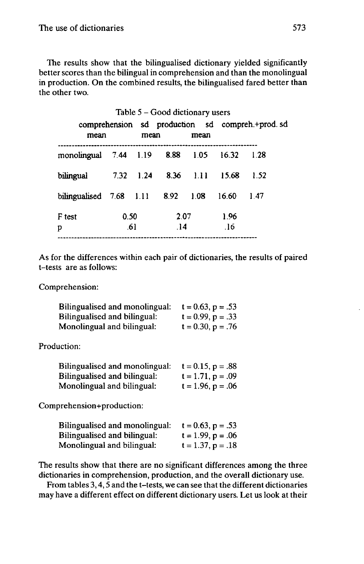The results show that the bilingualised dictionary yielded significantly better scores than the bilingual in comprehension and than the monolingual in production. On the combined results, the bilingualised fared better than the other two.

|             |                                  |      |           | Table $5 - Good$ dictionary users |           |             |                                                 |
|-------------|----------------------------------|------|-----------|-----------------------------------|-----------|-------------|-------------------------------------------------|
|             | mean                             |      | mean      |                                   | mean      |             | comprehension sd production sd compreh.+prod.sd |
|             |                                  |      |           | monolingual 7.44 1.19 8.88        | 1.05      | 16.32       | 1.28                                            |
| bilingual   |                                  |      | 7.32 1.24 |                                   | 8.36 1.11 | 15.68       | 1.52                                            |
|             | bilingualised $7.68$ 1.11 $8.92$ |      |           |                                   | 1.08      | 16.60       | 1.47                                            |
| F test<br>p |                                  | 0.50 | .61       | 2.07<br>$\overline{14}$           |           | 1.96<br>.16 |                                                 |

As for the differences within each pair of dictionaries, the results of paired t-tests are as follows:

Comprehension:

| Bilingualised and monolingual: | $t = 0.63$ , $p = .53$ |
|--------------------------------|------------------------|
| Bilingualised and bilingual:   | $t = 0.99$ , $p = .33$ |
| Monolingual and bilingual:     | $t = 0.30, p = .76$    |

Production:

| Bilingualised and monolingual: | $t = 0.15$ , $p = .88$ |
|--------------------------------|------------------------|
| Bilingualised and bilingual:   | $t = 1.71$ , $p = .09$ |
| Monolingual and bilingual:     | $t = 1.96$ , $p = .06$ |

Comprehension+production:

| <b>Bilingualised and monolingual:</b> | $t = 0.63$ , $p = .53$ |
|---------------------------------------|------------------------|
| Bilingualised and bilingual:          | $t = 1.99$ , $p = .06$ |
| Monolingual and bilingual:            | $t = 1.37, p = .18$    |

The results show that there are no significant differences among the three dictionaries in comprehension, production, and the overall dictionary use.

From tables 3,4,5 and the t-tests, we can see that the different dictionaries may have a different effect on different dictionary users. Let us look at their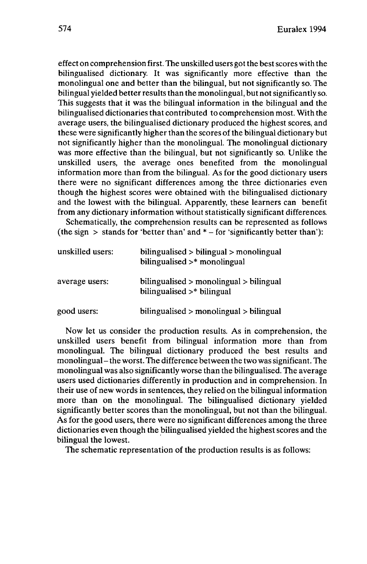effect on comprehension first. The unskilled users got the bestscores with the bilingualised dictionary. It was significantly more effective than the monolingual one and better than the bilingual, but not significantly so. The bilingual yielded better results than the monolingual, but notsignificantly so. This suggests that it was the bilingual information in the bilingual and the bilingualised dictionaries that contributed to comprehension most. With the average users, the bilingualised dictionary produced the highest scores, and these were significantly higher than the scores of the bilingual dictionary but not significantly higher than the monolingual. The monolingual dictionary was more effective than the bilingual, but not significantly so. Unlike the unskilled users, the average ones benefited from the monolingual information more than from the bilingual. As for the good dictionary users there were no significant differences among the three dictionaries even though the highest scores were obtained with the bilingualised dictionary and the lowest with the bilingual. Apparently, these learners can benefit from any dictionary information without statistically significant differences.

Schematically, the comprehension results can be represented as follows (the sign  $>$  stands for 'better than' and  $*$  – for 'significantly better than'):

| unskilled users: | $bilingualised > bilingual > monolingual$<br>bilingualised $>$ * monolingual |
|------------------|------------------------------------------------------------------------------|
| average users:   | $bilingualised > monolingual > bilingual$<br>bilingualised $>$ bilingual     |
| good users:      | $bilinear$ bilingualised $>$ monolingual $>$ bilingual                       |

Now let us consider the production results. As in comprehension, the unskilled users benefit from bilingual information more than from monolingual. The bilingual dictionary produced the best results and monolingual-the worst. The difference between the two wassignificant. The monolingual was also significantly worse than the bilingualised. The average users used dictionaries differently in production and in comprehension. In their use of new words in sentences, they relied on the bilingual information more than on the monolingual. The bilingualised dictionary yielded significantly better scores than the monolingual, but not than the bilingual. As for the good users, there were no significant differences among the three dictionaries even though the bilingualised yielded the highest scores and the bilingual the lowest.

The schematic representation of the production results is as follows: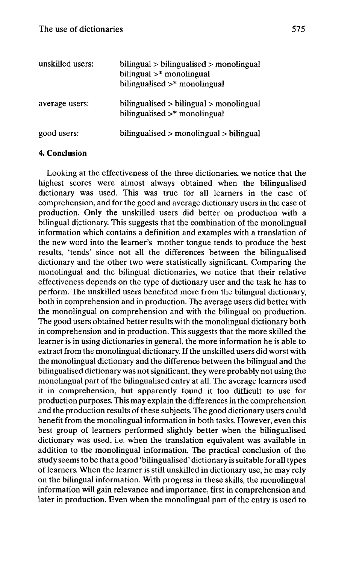| unskilled users: | bilingual > bilingualised > monolingual<br>bilingual $>$ * monolingual<br>bilingualised $>$ * monolingual |
|------------------|-----------------------------------------------------------------------------------------------------------|
| average users:   | bilingualised $>$ bilingual $>$ monolingual<br>bilingualised $>$ * monolingual                            |
| good users:      | $bilingualised > monolingual > bilingual$                                                                 |

# **4. Conclusion**

Looking at the effectiveness of the three dictionaries, we notice that the highest scores were almost always obtained when the bilingualised dictionary was used. This was true for all learners in the case of comprehension, and for the good and average dictionary users in the case of production. Only the unskilled users did better on production with a bilingual dictionary. This suggests that the combination of the monolingual information which contains a definition and examples with a translation of the new word into the learner's mother tongue tends to produce the best results, 'tends' since not all the differences between the bilingualised dictionary and the other two were statistically significant. Comparing the monolingual and the bilingual dictionaries, we notice that their relative effectiveness depends on the type of dictionary user and the task he has to perform. The unskilled users benefited more from the bilingual dictionary, both in comprehension and in production. The average users did better with the monolingual on comprehension and with the bilingual on production. The good users obtained better results with the monolingual dictionary both in comprehension and in production. This suggests that the more skilled the learner is in using dictionaries in general, the more information he is able to extract from the monolingual dictionary. If the unskilled users did worst with the monolingual dictionary and the difference between the bilingual and the bilingualised dictionary was notsignificant, they were probably not using the monolingual part of the bilingualised entry at all. The average learners used it in comprehension, but apparently found it too difficult to use for production purposes. This may explain the differences in the comprehension and the production results of these subjects. The good dictionary users could benefit from the monolingual information in both tasks. However, even this best group of learners performed slightly better when the bilingualised dictionary was used, i.e. when the translation equivalent was available in addition to the monolingual information. The practical conclusion of the study seemsto be that a good 'bilingualised' dictionary is suitable for alltypes of learners. When the learner is still unskilled in dictionary use, he may rely on the bilingual information. With progress in these skills, the monolingual information will gain relevance and importance, first in comprehension and later in production. Even when the monolingual part of the entry is used to